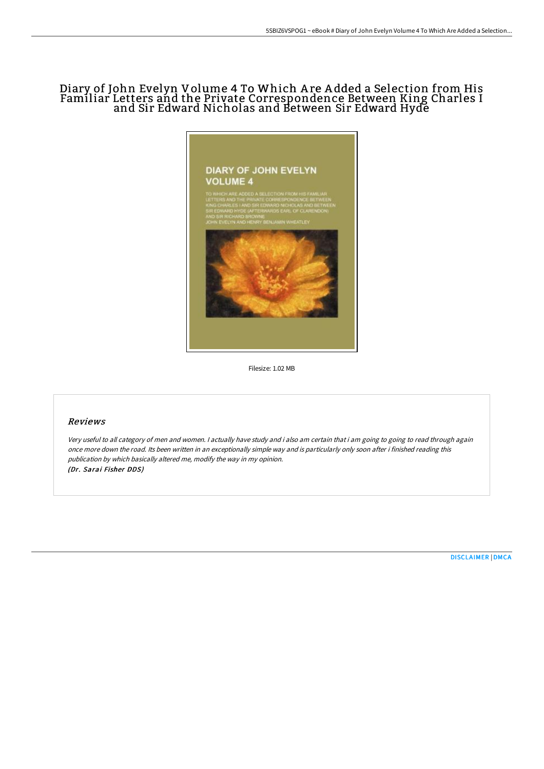# Diary of John Evelyn Volume 4 To Which A re A dded a Selection from His Familiar Letters and the Private Correspondence Between King Charles I and Sir Edward Nicholas and Between Sir Edward Hyde



Filesize: 1.02 MB

## Reviews

Very useful to all category of men and women. <sup>I</sup> actually have study and i also am certain that i am going to going to read through again once more down the road. Its been written in an exceptionally simple way and is particularly only soon after i finished reading this publication by which basically altered me, modify the way in my opinion. (Dr. Sarai Fisher DDS)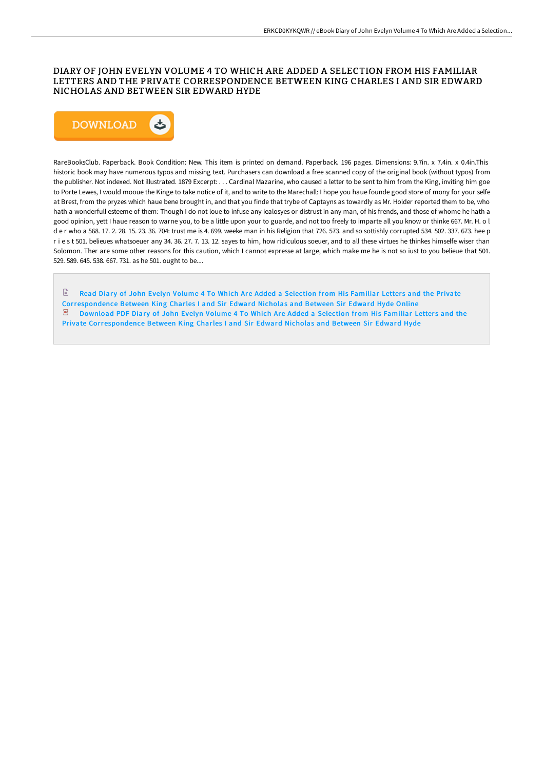## DIARY OF JOHN EVELYN VOLUME 4 TO WHICH ARE ADDED A SELECTION FROM HIS FAMILIAR LETTERS AND THE PRIVATE CORRESPONDENCE BETWEEN KING CHARLES I AND SIR EDWARD NICHOLAS AND BETWEEN SIR EDWARD HYDE



RareBooksClub. Paperback. Book Condition: New. This item is printed on demand. Paperback. 196 pages. Dimensions: 9.7in. x 7.4in. x 0.4in.This historic book may have numerous typos and missing text. Purchasers can download a free scanned copy of the original book (without typos) from the publisher. Not indexed. Not illustrated. 1879 Excerpt: . . . Cardinal Mazarine, who caused a letter to be sent to him from the King, inviting him goe to Porte Lewes, I would mooue the Kinge to take notice of it, and to write to the Marechall: I hope you haue founde good store of mony for your selfe at Brest, from the pryzes which haue bene brought in, and that you finde that trybe of Captayns as towardly as Mr. Holder reported them to be, who hath a wonderfull esteeme of them: Though I do not loue to infuse any iealosyes or distrust in any man, of his frends, and those of whome he hath a good opinion, yett I haue reason to warne you, to be a little upon your to guarde, and not too freely to imparte all you know or thinke 667. Mr. H. o l d e r who a 568. 17. 2. 28. 15. 23. 36. 704: trust me is 4. 699. weeke man in his Religion that 726. 573. and so sottishly corrupted 534. 502. 337. 673. hee p r i e s t 501. belieues whatsoeuer any 34. 36. 27. 7. 13. 12. sayes to him, how ridiculous soeuer, and to all these virtues he thinkes himselfe wiser than Solomon. Ther are some other reasons for this caution, which I cannot expresse at large, which make me he is not so iust to you belieue that 501. 529. 589. 645. 538. 667. 731. as he 501. ought to be....

 $\mathbb{R}$ Read Diary of John Evelyn Volume 4 To Which Are Added a Selection from His Familiar Letters and the Private [Correspondence](http://techno-pub.tech/diary-of-john-evelyn-volume-4-to-which-are-added.html) Between King Charles I and Sir Edward Nicholas and Between Sir Edward Hyde Online Download PDF Diary of John Evelyn Volume 4 To Which Are Added a Selection from His Familiar Letters and the  $\overline{\text{pos}}$ Private [Correspondence](http://techno-pub.tech/diary-of-john-evelyn-volume-4-to-which-are-added.html) Between King Charles I and Sir Edward Nicholas and Between Sir Edward Hyde